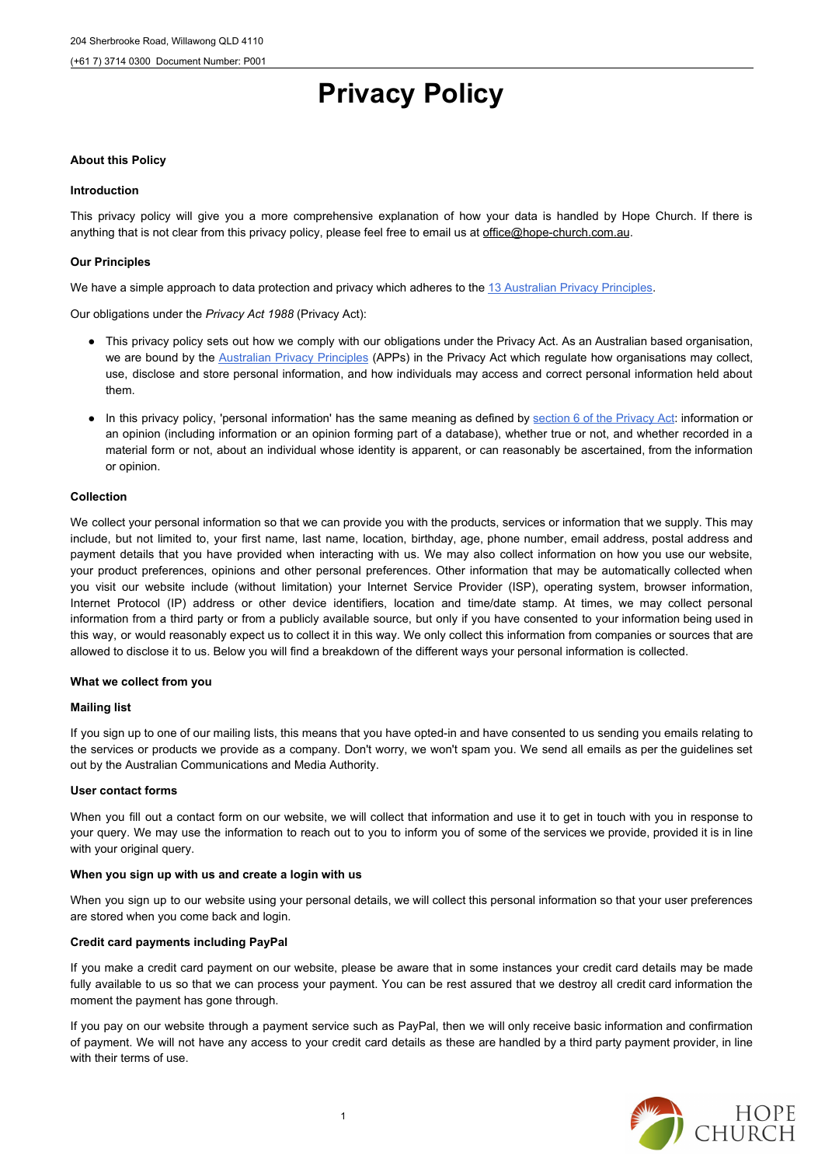This privacy policy will give you a more comprehensive explanation of how your data is handled by Hope Church. If there is anything that is not clear from this privacy policy, please feel free to email us at office@hope-church.com.au.

# **Privacy Policy**

# **About this Policy**

# **Introduction**

# **Our Principles**

We have a simple approach to data protection and privacy which adheres to the [13 Australian Privacy Principles.](http://url6904.myprivacypolicy.com.au/wf/click?upn=fT-2Bik9ScfHrPwdFIkNSasliJwiFdGaznnqUX1GhA22eRhDa2Uogs0yR5XgycPV5ZYJq9cjisE-2FkSJ5J1pkL9UOsT6-2FPXGC49RzKFvPFfyYznw0e1mOePtaVVmtPa5m5urBMuDX0qAcJavuFDzulo5vDMI4MjJHgi8RUnViw35hp6dfuILERNkuuGjFjz94j2lStj0lSr-2BO6f42-2B3n5gENQ-3D-3D_ex8vQtdTEwGKc274NFeZlFM6RVFS6SlQzeZEr5jR6JTJOOm38z6OKMUZtdK2qegFJV-2BMMwtkvZW1ld0AUte3P3QvELyQsZMDIxb-2Fh9YCwmfokCCke0gsWGnntNKYD16ZXKfGKI3qnFmXmAsJR0wqGk1khl9FW-2BwmSfsTeqgP8KfpDx3ghAP7MeXYdDAJ6GRCtL-2FPT89Gv5kPyxf209pd4pP5UArpfbEWVPxN9sRvcek-3D)

Our obligations under the *Privacy Act 1988* (Privacy Act):

- This privacy policy sets out how we comply with our obligations under the Privacy Act. As an Australian based organisation, we are bound by the **[Australian](http://url6904.myprivacypolicy.com.au/wf/click?upn=fT-2Bik9ScfHrPwdFIkNSasm3qCARo5JYPIa8Oib15G7otwXPjLt0Zem1illtaYzOSMDdcl79FegJU8PbRqb98fw-3D-3D_ex8vQtdTEwGKc274NFeZlFM6RVFS6SlQzeZEr5jR6JTJOOm38z6OKMUZtdK2qegFJV-2BMMwtkvZW1ld0AUte3P9CTx3Sy41ApGHgUslOMqy7GkR3ClRnAfMclptoN8klRV9Ur5bbskI3f-2FOPPzHVcxpl1LWT6zFuDJRzr3RQpgMB8xeyVAdPHVtUn-2B5mjEiN-2FL-2Fuia3yu2PeT-2B2xUQtok5sqNLRLENEqDLMpjR8krVvs-3D) Privacy Principles** (APPs) in the Privacy Act which regulate how organisations may collect, use, disclose and store personal information, and how individuals may access and correct personal information held about them.
- In this privacy policy, 'personal information' has the same meaning as defined by section 6 of the [Privacy](http://url6904.myprivacypolicy.com.au/wf/click?upn=fT-2Bik9ScfHrPwdFIkNSasm3qCARo5JYPIa8Oib15G7ojKkSAD2PYMOKxw-2F5LROa28H9O1-2BQAhe-2B3BPgvL1xLY7Kp0fMdZDCUoG-2Bney8OfRs-3D_ex8vQtdTEwGKc274NFeZlFM6RVFS6SlQzeZEr5jR6JTJOOm38z6OKMUZtdK2qegFJV-2BMMwtkvZW1ld0AUte3P6nFhm6E6Tvduyazb9j4bsVw2O6hQ5qXT-2Fe223CxHbbvXAEGzXtRLn-2BdUO94tfzKv91bUK3AyKncoZ06a6z8R-2FPOKiDtPjjOkv7bRgkG0mSwnxVvAIaHo-2FNNEm3rBbaEPBIy8FMeMCabWuJMFW19lhk-3D) Act: information or an opinion (including information or an opinion forming part of a database), whether true or not, and whether recorded in a material form or not, about an individual whose identity is apparent, or can reasonably be ascertained, from the information or opinion.

# **Collection**

We collect your personal information so that we can provide you with the products, services or information that we supply. This may include, but not limited to, your first name, last name, location, birthday, age, phone number, email address, postal address and payment details that you have provided when interacting with us. We may also collect information on how you use our website, your product preferences, opinions and other personal preferences. Other information that may be automatically collected when you visit our website include (without limitation) your Internet Service Provider (ISP), operating system, browser information, Internet Protocol (IP) address or other device identifiers, location and time/date stamp. At times, we may collect personal information from a third party or from a publicly available source, but only if you have consented to your information being used in this way, or would reasonably expect us to collect it in this way. We only collect this information from companies or sources that are allowed to disclose it to us. Below you will find a breakdown of the different ways your personal information is collected.

# **What we collect from you**

# **Mailing list**

If you sign up to one of our mailing lists, this means that you have opted-in and have consented to us sending you emails relating to the services or products we provide as a company. Don't worry, we won't spam you. We send all emails as per the guidelines set out by the Australian Communications and Media Authority.

# **User contact forms**

When you fill out a contact form on our website, we will collect that information and use it to get in touch with you in response to your query. We may use the information to reach out to you to inform you of some of the services we provide, provided it is in line with your original query.

# **When you sign up with us and create a login with us**

When you sign up to our website using your personal details, we will collect this personal information so that your user preferences are stored when you come back and login.

#### **Credit card payments including PayPal**

If you make a credit card payment on our website, please be aware that in some instances your credit card details may be made fully available to us so that we can process your payment. You can be rest assured that we destroy all credit card information the moment the payment has gone through.

If you pay on our website through a payment service such as PayPal, then we will only receive basic information and confirmation of payment. We will not have any access to your credit card details as these are handled by a third party payment provider, in line with their terms of use.

1

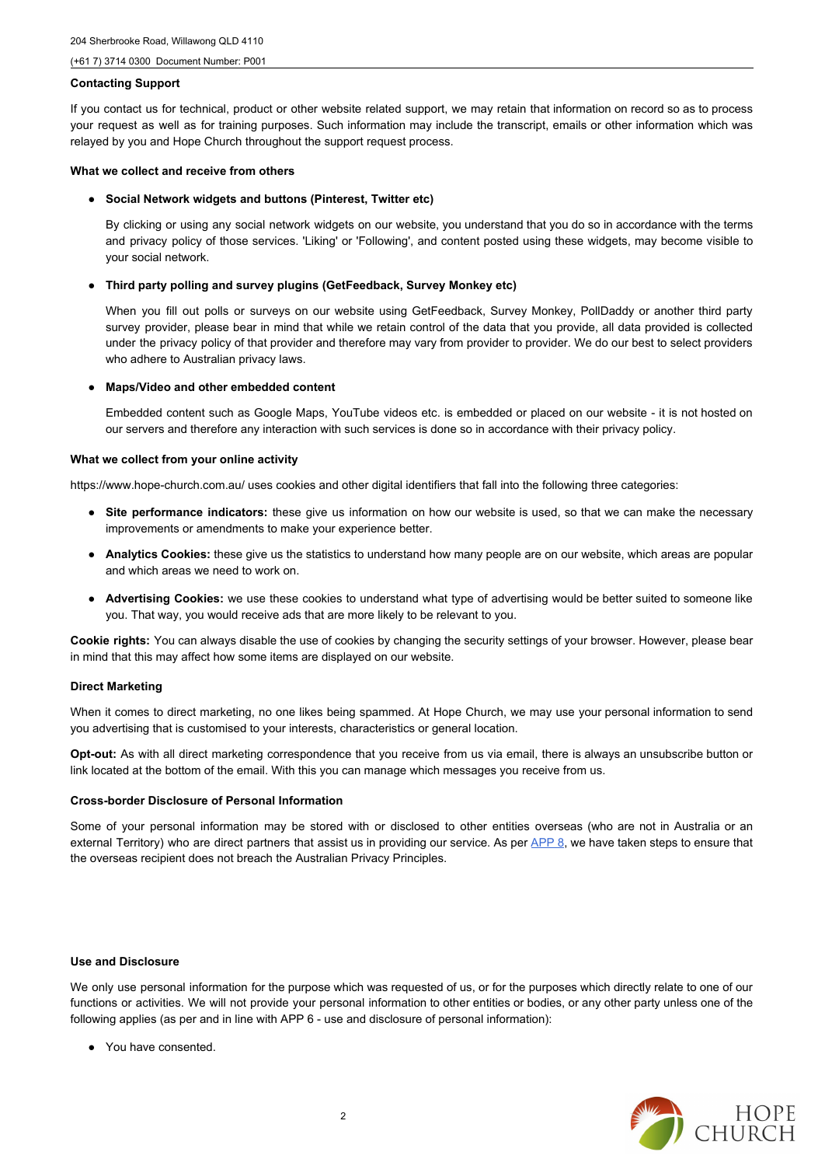#### (+61 7) 3714 0300 Document Number: P001

# **Contacting Support**

If you contact us for technical, product or other website related support, we may retain that information on record so as to process your request as well as for training purposes. Such information may include the transcript, emails or other information which was relayed by you and Hope Church throughout the support request process.

# **What we collect and receive from others**

● **Social Network widgets and buttons (Pinterest, Twitter etc)**

By clicking or using any social network widgets on our website, you understand that you do so in accordance with the terms and privacy policy of those services. 'Liking' or 'Following', and content posted using these widgets, may become visible to your social network.

# ● **Third party polling and survey plugins (GetFeedback, Survey Monkey etc)**

When you fill out polls or surveys on our website using GetFeedback, Survey Monkey, PollDaddy or another third party survey provider, please bear in mind that while we retain control of the data that you provide, all data provided is collected under the privacy policy of that provider and therefore may vary from provider to provider. We do our best to select providers who adhere to Australian privacy laws.

# ● **Maps/Video and other embedded content**

Embedded content such as Google Maps, YouTube videos etc. is embedded or placed on our website - it is not hosted on our servers and therefore any interaction with such services is done so in accordance with their privacy policy.

# **What we collect from your online activity**

https://www.hope-church.com.au/ uses cookies and other digital identifiers that fall into the following three categories:

- **Site performance indicators:** these give us information on how our website is used, so that we can make the necessary improvements or amendments to make your experience better.
- **Analytics Cookies:** these give us the statistics to understand how many people are on our website, which areas are popular and which areas we need to work on.
- **Advertising Cookies:** we use these cookies to understand what type of advertising would be better suited to someone like you. That way, you would receive ads that are more likely to be relevant to you.

**Cookie rights:** You can always disable the use of cookies by changing the security settings of your browser. However, please bear in mind that this may affect how some items are displayed on our website.

# **Direct Marketing**

When it comes to direct marketing, no one likes being spammed. At Hope Church, we may use your personal information to send you advertising that is customised to your interests, characteristics or general location.

**Opt-out:** As with all direct marketing correspondence that you receive from us via email, there is always an unsubscribe button or link located at the bottom of the email. With this you can manage which messages you receive from us.

# **Cross-border Disclosure of Personal Information**

Some of your personal information may be stored with or disclosed to other entities overseas (who are not in Australia or an exte[r](http://url6904.myprivacypolicy.com.au/wf/click?upn=fT-2Bik9ScfHrPwdFIkNSasm3qCARo5JYPIa8Oib15G7otwXPjLt0Zem1illtaYzOSMDdcl79FegJU8PbRqb98fw-3D-3D_ex8vQtdTEwGKc274NFeZlFM6RVFS6SlQzeZEr5jR6JTJOOm38z6OKMUZtdK2qegFJV-2BMMwtkvZW1ld0AUte3P744NkhbrwoQgjxWWq2XcKd9xedYopjCPUYS5I-2Bn1FRB2SDv8yxesxLmocfO-2F5ZYWWXUfrDS8R80NqLo54gdwoO-2BlY0CA3JA5EQvc4NXNckRuZbM-2FmlSp7b-2BS00eWTZIw-2FXO0o-2BHwgmau7u9q0-2BxDLg-3D)nal Territory) who are direct partners that assist us in providing our service. As per **[APP](http://url6904.myprivacypolicy.com.au/wf/click?upn=fT-2Bik9ScfHrPwdFIkNSasm3qCARo5JYPIa8Oib15G7otwXPjLt0Zem1illtaYzOSMDdcl79FegJU8PbRqb98fw-3D-3D_ex8vQtdTEwGKc274NFeZlFM6RVFS6SlQzeZEr5jR6JTJOOm38z6OKMUZtdK2qegFJV-2BMMwtkvZW1ld0AUte3P744NkhbrwoQgjxWWq2XcKd9xedYopjCPUYS5I-2Bn1FRB2SDv8yxesxLmocfO-2F5ZYWWXUfrDS8R80NqLo54gdwoO-2BlY0CA3JA5EQvc4NXNckRuZbM-2FmlSp7b-2BS00eWTZIw-2FXO0o-2BHwgmau7u9q0-2BxDLg-3D) 8**, we have taken steps to ensure that the overseas recipient does not breach the Australian Privacy Principles.

#### **Use and Disclosure**

We only use personal information for the purpose which was requested of us, or for the purposes which directly relate to one of our functions or activities. We will not provide your personal information to other entities or bodies, or any other party unless one of the following applies (as per and in line with APP 6 - use and disclosure of personal information):

● You have consented.